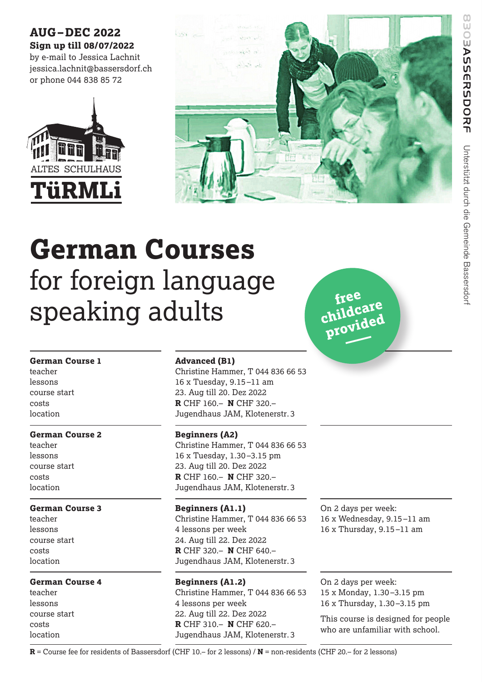# **AUG–DEC 2022 Sign up till 08/07/2022**

by e-mail to Jessica Lachnit jessica.lachnit@bassersdorf.ch or phone 044 838 85 72





# **German Courses**  for foreign language speaking adults

## **German Course 1**

teacher lessons course start costs location

# **German Course 2**

teacher lessons course start costs location

# **German Course 3**

teacher lessons course start costs location

# **German Course 4**

teacher lessons course start costs location

# **Advanced (B1)**

Christine Hammer, T 044 836 66 53 16 x Tuesday, 9.15 –11 am 23. Aug till 20. Dez 2022 **R** CHF 160.– **N** CHF 320.– Jugendhaus JAM, Klotenerstr. 3

# **Beginners (A2)**

Christine Hammer, T 044 836 66 53 16 x Tuesday, 1.30 –3.15 pm 23. Aug till 20. Dez 2022 **R** CHF 160.– **N** CHF 320.– Jugendhaus JAM, Klotenerstr. 3

**Beginners (A1.1)** Christine Hammer, T 044 836 66 53 4 lessons per week 24. Aug till 22. Dez 2022 **R** CHF 320.– **N** CHF 640.– Jugendhaus JAM, Klotenerstr. 3

**Beginners (A1.2)** Christine Hammer, T 044 836 66 53 4 lessons per week 22. Aug till 22. Dez 2022 **R** CHF 310.– **N** CHF 620.– Jugendhaus JAM, Klotenerstr. 3

On 2 days per week: 16 x Wednesday, 9.15 –11 am 16 x Thursday, 9.15 –11 am

**free childcare**

**provided –**

On 2 days per week: 15 x Monday, 1.30 –3.15 pm 16 x Thursday, 1.30 –3.15 pm

This course is designed for people who are unfamiliar with school.